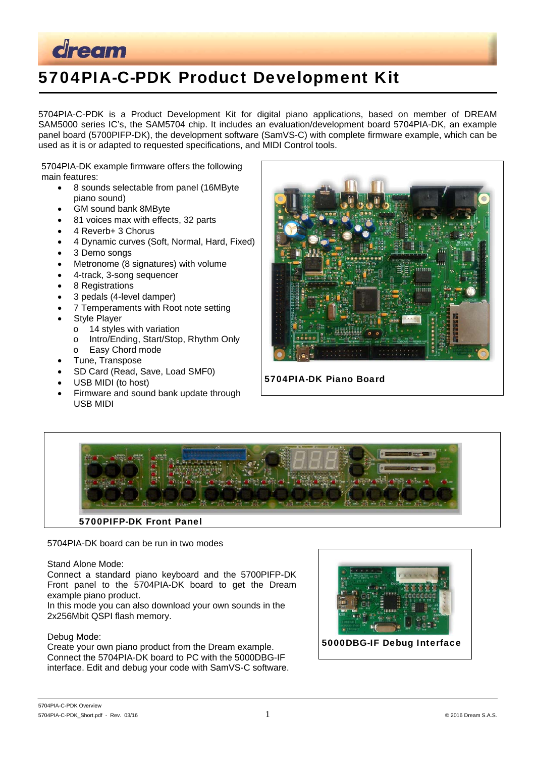

# 5704PIA-C-PDK Product Development Kit

5704PIA-C-PDK is a Product Development Kit for digital piano applications, based on member of DREAM SAM5000 series IC's, the SAM5704 chip. It includes an evaluation/development board 5704PIA-DK, an example panel board (5700PIFP-DK), the development software (SamVS-C) with complete firmware example, which can be used as it is or adapted to requested specifications, and MIDI Control tools.

5704PIA-DK example firmware offers the following main features:

- 8 sounds selectable from panel (16MByte piano sound)
- GM sound bank 8MByte
- 81 voices max with effects, 32 parts
- 4 Reverb+ 3 Chorus
- 4 Dynamic curves (Soft, Normal, Hard, Fixed)
- 3 Demo songs
- Metronome (8 signatures) with volume
- 4-track, 3-song sequencer
- 8 Registrations
- 3 pedals (4-level damper)
- 7 Temperaments with Root note setting
- Style Player
	- o 14 styles with variation
		- o Intro/Ending, Start/Stop, Rhythm Only
	- o Easy Chord mode
- Tune, Transpose
- SD Card (Read, Save, Load SMF0)
- USB MIDI (to host)
- Firmware and sound bank update through USB MIDI



5704PIA-DK Piano Board



5704PIA-DK board can be run in two modes

### Stand Alone Mode:

Connect a standard piano keyboard and the 5700PIFP-DK Front panel to the 5704PIA-DK board to get the Dream example piano product.

In this mode you can also download your own sounds in the 2x256Mbit QSPI flash memory.

### Debug Mode:

Create your own piano product from the Dream example. Connect the 5704PIA-DK board to PC with the 5000DBG-IF interface. Edit and debug your code with SamVS-C software.